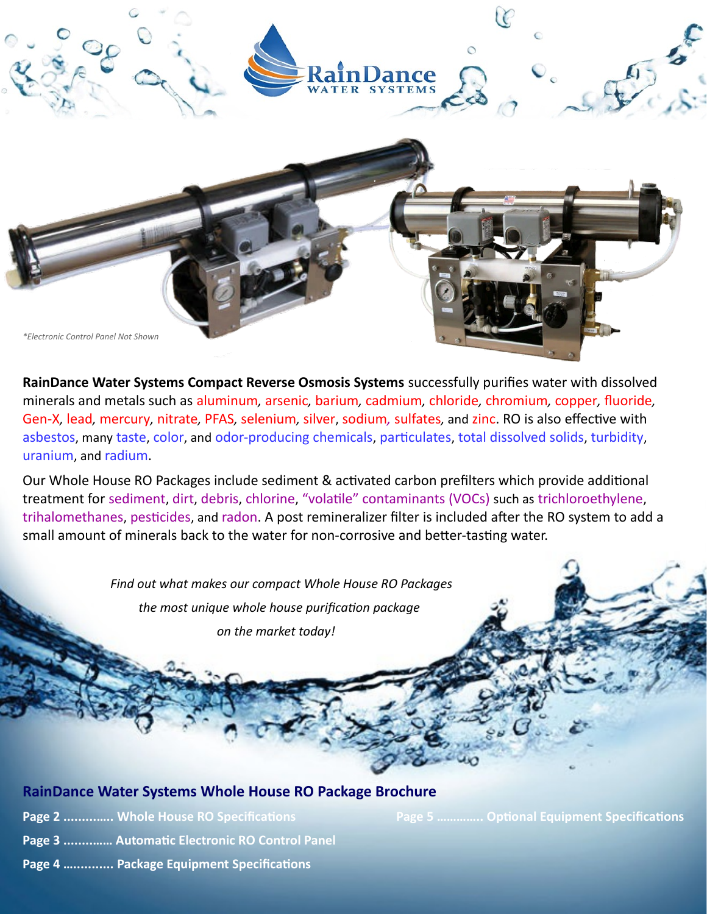

**RainDance Water Systems Compact Reverse Osmosis Systems** successfully purifies water with dissolved minerals and metals such as aluminum*,* arsenic*,* barium*,* cadmium*,* chloride*,* chromium*,* copper*,* fluoride*,* Gen-X*,* lead*,* mercury*,* nitrate*,* PFAS*,* selenium*,* silver, sodium*,* sulfates*,* and zinc. RO is also effective with asbestos, many taste, color, and odor-producing chemicals, particulates, total dissolved solids, turbidity, uranium, and radium.

Our Whole House RO Packages include sediment & activated carbon prefilters which provide additional treatment for sediment, dirt, debris, chlorine, "volatile" contaminants (VOCs) such as trichloroethylene, trihalomethanes, pesticides, and radon. A post remineralizer filter is included after the RO system to add a small amount of minerals back to the water for non-corrosive and better-tasting water.

> *Find out what makes our compact Whole House RO Packages the most unique whole house purification package on the market today!*

#### **RainDance Water Systems Whole House RO Package Brochure**

**Page 2 ............... Whole House RO Specifications Community Page 5 .............. Optional Equipment Specifications** 

- **Page 3 ........…… Automatic Electronic RO Control Panel**
- **Page 4 …........... Package Equipment Specifications**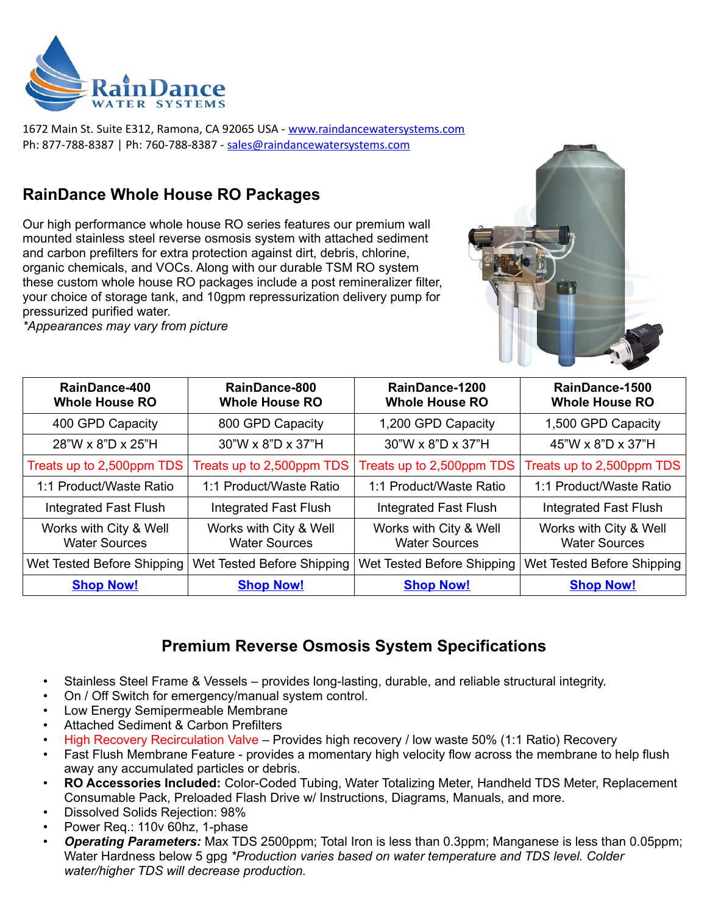

1672 Main St. Suite E312, Ramona, CA 92065 USA - [www. raindancewatersystems.com](http://www.raindancewatersystems.com/) Ph: 877-788-8387 | Ph: 760-788-8387 - [sales@raindancewatersystems.com](mailto:sales@raindancewatersystems.com)

# **RainDance Whole House RO Packages**

Our high performance whole house RO series features our premium wall mounted stainless steel reverse osmosis system with attached sediment and carbon prefilters for extra protection against dirt, debris, chlorine, organic chemicals, and VOCs. Along with our durable TSM RO system these custom whole house RO packages include a post remineralizer filter, your choice of storage tank, and 10gpm repressurization delivery pump for pressurized purified water.

*\*Appearances may vary from picture*



| RainDance-400<br><b>Whole House RO</b>         | RainDance-800<br><b>Whole House RO</b>         | RainDance-1200<br><b>Whole House RO</b>        | RainDance-1500<br><b>Whole House RO</b>        |
|------------------------------------------------|------------------------------------------------|------------------------------------------------|------------------------------------------------|
| 400 GPD Capacity                               | 800 GPD Capacity                               | 1,200 GPD Capacity                             | 1,500 GPD Capacity                             |
| 28"W x 8"D x 25"H                              | 30"W x 8"D x 37"H                              | 30"W x 8"D x 37"H                              | 45"W x 8"D x 37"H                              |
| Treats up to 2,500ppm TDS                      | Treats up to 2,500ppm TDS                      | Treats up to 2,500ppm TDS                      | Treats up to 2,500ppm TDS                      |
| 1:1 Product/Waste Ratio                        | 1:1 Product/Waste Ratio                        | 1:1 Product/Waste Ratio                        | 1:1 Product/Waste Ratio                        |
| <b>Integrated Fast Flush</b>                   | <b>Integrated Fast Flush</b>                   | Integrated Fast Flush                          | <b>Integrated Fast Flush</b>                   |
| Works with City & Well<br><b>Water Sources</b> | Works with City & Well<br><b>Water Sources</b> | Works with City & Well<br><b>Water Sources</b> | Works with City & Well<br><b>Water Sources</b> |
| Wet Tested Before Shipping                     | Wet Tested Before Shipping                     | Wet Tested Before Shipping                     | Wet Tested Before Shipping                     |
| <b>Shop Now!</b>                               | <b>Shop Now!</b>                               | <b>Shop Now!</b>                               | <b>Shop Now!</b>                               |

# **Premium Reverse Osmosis System Specifications**

- Stainless Steel Frame & Vessels provides long-lasting, durable, and reliable structural integrity.
- On / Off Switch for emergency/manual system control.
- Low Energy Semipermeable Membrane
- Attached Sediment & Carbon Prefilters
- High Recovery Recirculation Valve Provides high recovery / low waste 50% (1:1 Ratio) Recovery
- Fast Flush Membrane Feature provides a momentary high velocity flow across the membrane to help flush away any accumulated particles or debris.
- **RO Accessories Included:** Color-Coded Tubing, Water Totalizing Meter, Handheld TDS Meter, Replacement Consumable Pack, Preloaded Flash Drive w/ Instructions, Diagrams, Manuals, and more.
- Dissolved Solids Rejection: 98%
- Power Req.: 110v 60hz, 1-phase
- *Operating Parameters:* Max TDS 2500ppm; Total Iron is less than 0.3ppm; Manganese is less than 0.05ppm; Water Hardness below 5 gpg *\*Production varies based on water temperature and TDS level. Colder water/higher TDS will decrease production.*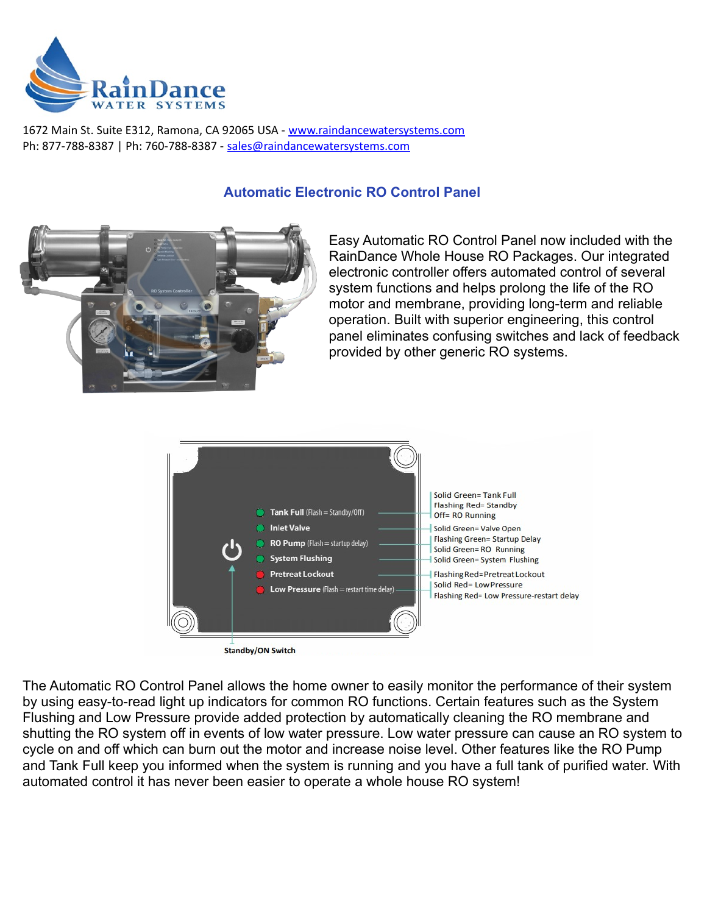

1672 Main St. Suite E312, Ramona, CA 92065 USA - [www. raindancewatersystems.com](http://www.raindancewatersystems.com/) Ph: 877-788-8387 | Ph: 760-788-8387 - [sales@raindancewatersystems.com](mailto:sales@raindancewatersystems.com)

# **Automatic Electronic RO Control Panel**



Easy Automatic RO Control Panel now included with the RainDance Whole House RO Packages. Our integrated electronic controller offers automated control of several system functions and helps prolong the life of the RO motor and membrane, providing long-term and reliable operation. Built with superior engineering, this control panel eliminates confusing switches and lack of feedback provided by other generic RO systems.



The Automatic RO Control Panel allows the home owner to easily monitor the performance of their system by using easy-to-read light up indicators for common RO functions. Certain features such as the System Flushing and Low Pressure provide added protection by automatically cleaning the RO membrane and shutting the RO system off in events of low water pressure. Low water pressure can cause an RO system to cycle on and off which can burn out the motor and increase noise level. Other features like the RO Pump and Tank Full keep you informed when the system is running and you have a full tank of purified water. With automated control it has never been easier to operate a whole house RO system!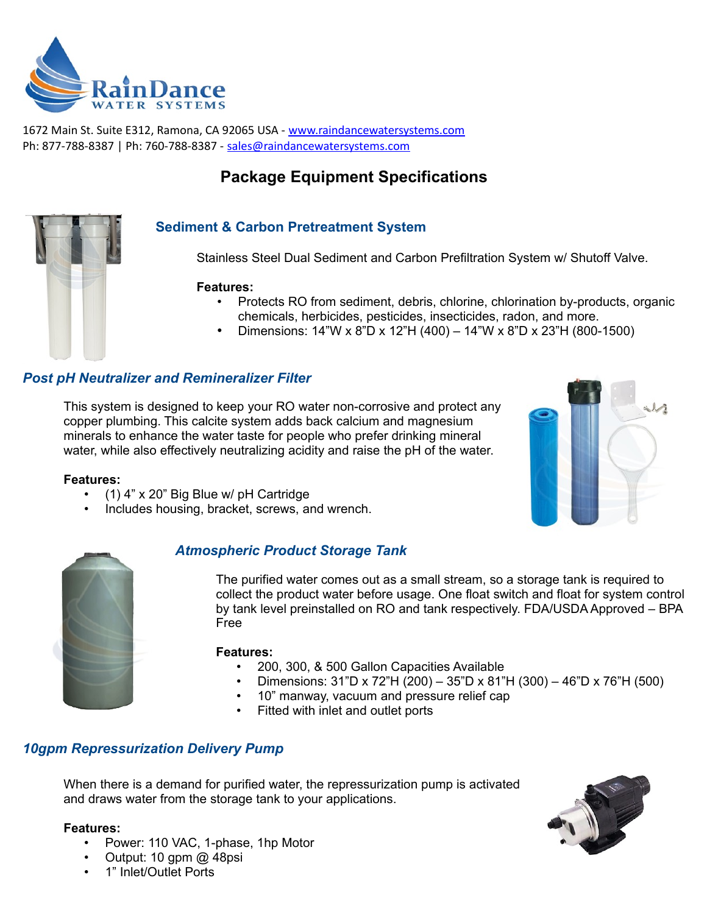

1672 Main St. Suite E312, Ramona, CA 92065 USA - [www. raindancewatersystems.com](http://www.raindancewatersystems.com/) Ph: 877-788-8387 | Ph: 760-788-8387 - [sales@raindancewatersystems.com](mailto:sales@raindancewatersystems.com)

# **Package Equipment Specifications**

# **Sediment & Carbon Pretreatment System**

Stainless Steel Dual Sediment and Carbon Prefiltration System w/ Shutoff Valve.

#### **Features:**

- Protects RO from sediment, debris, chlorine, chlorination by-products, organic chemicals, herbicides, pesticides, insecticides, radon, and more.
- Dimensions: 14"W x 8"D x 12"H (400) 14"W x 8"D x 23"H (800-1500)

### *Post pH Neutralizer and Remineralizer Filter*

This system is designed to keep your RO water non-corrosive and protect any copper plumbing. This calcite system adds back calcium and magnesium minerals to enhance the water taste for people who prefer drinking mineral water, while also effectively neutralizing acidity and raise the pH of the water.



#### **Features:**

- (1) 4" x 20" Big Blue w/ pH Cartridge
- Includes housing, bracket, screws, and wrench.



## *Atmospheric Product Storage Tank*

The purified water comes out as a small stream, so a storage tank is required to collect the product water before usage. One float switch and float for system control by tank level preinstalled on RO and tank respectively. FDA/USDA Approved – BPA Free

#### **Features:**

- 200, 300, & 500 Gallon Capacities Available
- Dimensions: 31"D x 72"H (200) 35"D x 81"H (300) 46"D x 76"H (500)
- 10" manway, vacuum and pressure relief cap
- Fitted with inlet and outlet ports

## *10gpm Repressurization Delivery Pump*

When there is a demand for purified water, the repressurization pump is activated and draws water from the storage tank to your applications.

#### **Features:**

- Power: 110 VAC, 1-phase, 1hp Motor
- Output: 10 gpm @ 48psi
- 1" Inlet/Outlet Ports